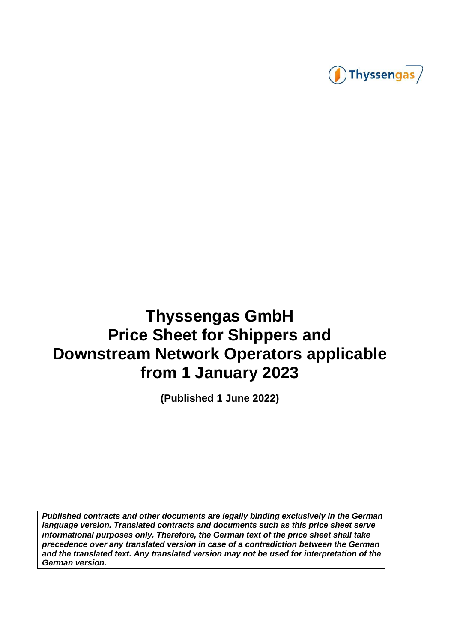

# **Thyssengas GmbH Price Sheet for Shippers and Downstream Network Operators applicable from 1 January 2023**

**(Published 1 June 2022)** 

**Published contracts and other documents are legally binding exclusively in the German language version. Translated contracts and documents such as this price sheet serve informational purposes only. Therefore, the German text of the price sheet shall take precedence over any translated version in case of a contradiction between the German and the translated text. Any translated version may not be used for interpretation of the German version.**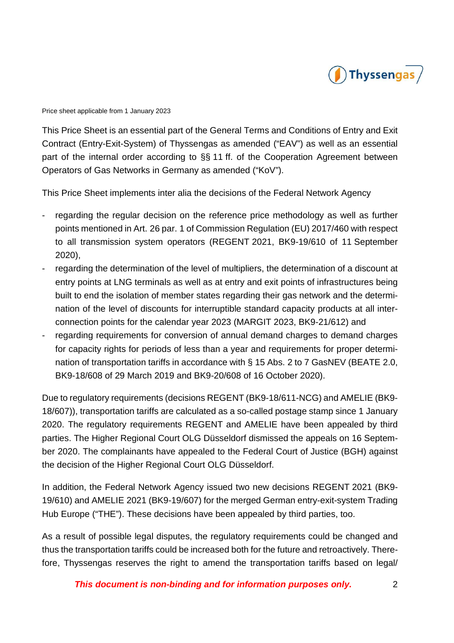

This Price Sheet is an essential part of the General Terms and Conditions of Entry and Exit Contract (Entry-Exit-System) of Thyssengas as amended ("EAV") as well as an essential part of the internal order according to §§ 11 ff. of the Cooperation Agreement between Operators of Gas Networks in Germany as amended ("KoV").

This Price Sheet implements inter alia the decisions of the Federal Network Agency

- regarding the regular decision on the reference price methodology as well as further points mentioned in Art. 26 par. 1 of Commission Regulation (EU) 2017/460 with respect to all transmission system operators (REGENT 2021, BK9-19/610 of 11 September 2020),
- regarding the determination of the level of multipliers, the determination of a discount at entry points at LNG terminals as well as at entry and exit points of infrastructures being built to end the isolation of member states regarding their gas network and the determination of the level of discounts for interruptible standard capacity products at all interconnection points for the calendar year 2023 (MARGIT 2023, BK9-21/612) and
- regarding requirements for conversion of annual demand charges to demand charges for capacity rights for periods of less than a year and requirements for proper determination of transportation tariffs in accordance with § 15 Abs. 2 to 7 GasNEV (BEATE 2.0, BK9-18/608 of 29 March 2019 and BK9-20/608 of 16 October 2020).

Due to regulatory requirements (decisions REGENT (BK9-18/611-NCG) and AMELIE (BK9- 18/607)), transportation tariffs are calculated as a so-called postage stamp since 1 January 2020. The regulatory requirements REGENT and AMELIE have been appealed by third parties. The Higher Regional Court OLG Düsseldorf dismissed the appeals on 16 September 2020. The complainants have appealed to the Federal Court of Justice (BGH) against the decision of the Higher Regional Court OLG Düsseldorf.

In addition, the Federal Network Agency issued two new decisions REGENT 2021 (BK9- 19/610) and AMELIE 2021 (BK9-19/607) for the merged German entry-exit-system Trading Hub Europe ("THE"). These decisions have been appealed by third parties, too.

As a result of possible legal disputes, the regulatory requirements could be changed and thus the transportation tariffs could be increased both for the future and retroactively. Therefore, Thyssengas reserves the right to amend the transportation tariffs based on legal/

**This document is non-binding and for information purposes only.** 2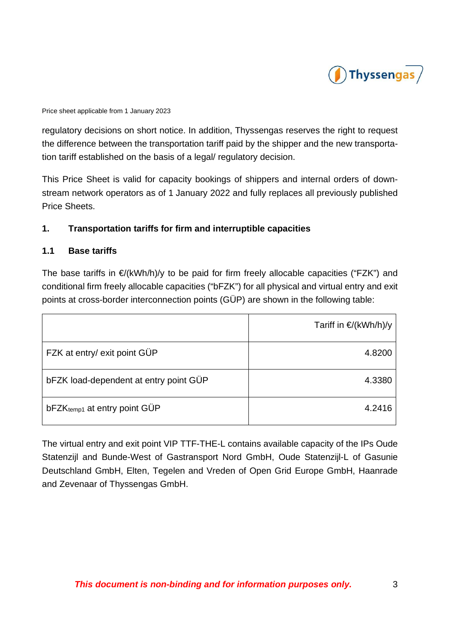

regulatory decisions on short notice. In addition, Thyssengas reserves the right to request the difference between the transportation tariff paid by the shipper and the new transportation tariff established on the basis of a legal/ regulatory decision.

This Price Sheet is valid for capacity bookings of shippers and internal orders of downstream network operators as of 1 January 2022 and fully replaces all previously published Price Sheets.

# **1. Transportation tariffs for firm and interruptible capacities**

#### **1.1 Base tariffs**

The base tariffs in  $\epsilon/(kWh/h)/y$  to be paid for firm freely allocable capacities ("FZK") and conditional firm freely allocable capacities ("bFZK") for all physical and virtual entry and exit points at cross-border interconnection points (GÜP) are shown in the following table:

|                                          | Tariff in €/(kWh/h)/y |
|------------------------------------------|-----------------------|
| FZK at entry/ exit point GÜP             | 4.8200                |
| bFZK load-dependent at entry point GÜP   | 4.3380                |
| bFZK <sub>temp1</sub> at entry point GÜP | 4.2416                |

The virtual entry and exit point VIP TTF-THE-L contains available capacity of the IPs Oude Statenzijl and Bunde-West of Gastransport Nord GmbH, Oude Statenzijl-L of Gasunie Deutschland GmbH, Elten, Tegelen and Vreden of Open Grid Europe GmbH, Haanrade and Zevenaar of Thyssengas GmbH.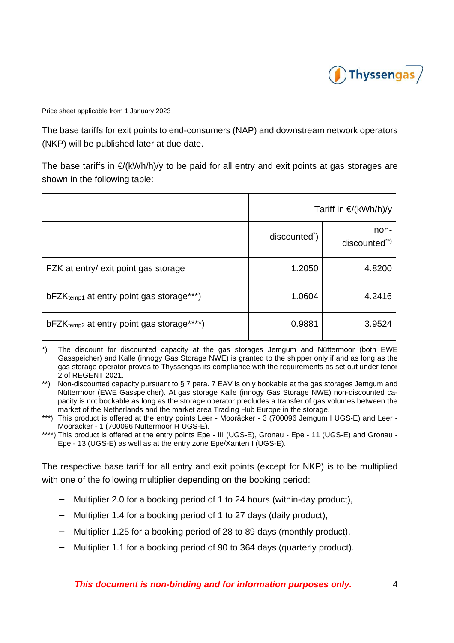

The base tariffs for exit points to end-consumers (NAP) and downstream network operators (NKP) will be published later at due date.

The base tariffs in  $E/KWh/h)/v$  to be paid for all entry and exit points at gas storages are shown in the following table:

|                                                       | Tariff in €/(kWh/h)/y     |                       |
|-------------------------------------------------------|---------------------------|-----------------------|
|                                                       | discounted <sup>*</sup> ) | non-<br>discounted**) |
| FZK at entry/ exit point gas storage                  | 1.2050                    | 4.8200                |
| $bFZK_{temp1}$ at entry point gas storage***)         | 1.0604                    | 4.2416                |
| bFZK <sub>temp2</sub> at entry point gas storage****) | 0.9881                    | 3.9524                |

- \*) The discount for discounted capacity at the gas storages Jemgum and Nüttermoor (both EWE Gasspeicher) and Kalle (innogy Gas Storage NWE) is granted to the shipper only if and as long as the gas storage operator proves to Thyssengas its compliance with the requirements as set out under tenor 2 of REGENT 2021.
- \*\*) Non-discounted capacity pursuant to § 7 para. 7 EAV is only bookable at the gas storages Jemgum and Nüttermoor (EWE Gasspeicher). At gas storage Kalle (innogy Gas Storage NWE) non-discounted capacity is not bookable as long as the storage operator precludes a transfer of gas volumes between the market of the Netherlands and the market area Trading Hub Europe in the storage.
- \*\*\*) This product is offered at the entry points Leer Mooräcker 3 (700096 Jemgum I UGS-E) and Leer -Mooräcker - 1 (700096 Nüttermoor H UGS-E).
- \*\*\*\*) This product is offered at the entry points Epe III (UGS-E), Gronau Epe 11 (UGS-E) and Gronau -Epe - 13 (UGS-E) as well as at the entry zone Epe/Xanten I (UGS-E).

The respective base tariff for all entry and exit points (except for NKP) is to be multiplied with one of the following multiplier depending on the booking period:

- − Multiplier 2.0 for a booking period of 1 to 24 hours (within-day product),
- − Multiplier 1.4 for a booking period of 1 to 27 days (daily product),
- − Multiplier 1.25 for a booking period of 28 to 89 days (monthly product),
- − Multiplier 1.1 for a booking period of 90 to 364 days (quarterly product).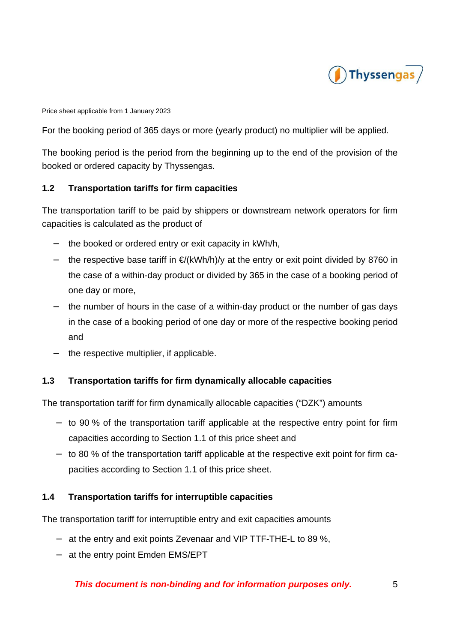

For the booking period of 365 days or more (yearly product) no multiplier will be applied.

The booking period is the period from the beginning up to the end of the provision of the booked or ordered capacity by Thyssengas.

# **1.2 Transportation tariffs for firm capacities**

The transportation tariff to be paid by shippers or downstream network operators for firm capacities is calculated as the product of

- the booked or ordered entry or exit capacity in kWh/h,
- the respective base tariff in €/(kWh/h)/y at the entry or exit point divided by 8760 in the case of a within-day product or divided by 365 in the case of a booking period of one day or more,
- the number of hours in the case of a within-day product or the number of gas days in the case of a booking period of one day or more of the respective booking period and
- the respective multiplier, if applicable.

# **1.3 Transportation tariffs for firm dynamically allocable capacities**

The transportation tariff for firm dynamically allocable capacities ("DZK") amounts

- − to 90 % of the transportation tariff applicable at the respective entry point for firm capacities according to Section 1.1 of this price sheet and
- − to 80 % of the transportation tariff applicable at the respective exit point for firm capacities according to Section 1.1 of this price sheet.

#### **1.4 Transportation tariffs for interruptible capacities**

The transportation tariff for interruptible entry and exit capacities amounts

- − at the entry and exit points Zevenaar and VIP TTF-THE-L to 89 %,
- − at the entry point Emden EMS/EPT

# **This document is non-binding and for information purposes only.** 5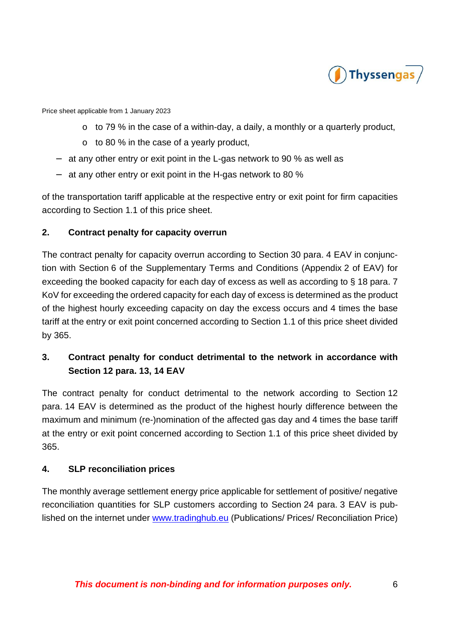

- o to 79 % in the case of a within-day, a daily, a monthly or a quarterly product,
- o to 80 % in the case of a yearly product,
- − at any other entry or exit point in the L-gas network to 90 % as well as
- − at any other entry or exit point in the H-gas network to 80 %

of the transportation tariff applicable at the respective entry or exit point for firm capacities according to Section 1.1 of this price sheet.

#### **2. Contract penalty for capacity overrun**

The contract penalty for capacity overrun according to Section 30 para. 4 EAV in conjunction with Section 6 of the Supplementary Terms and Conditions (Appendix 2 of EAV) for exceeding the booked capacity for each day of excess as well as according to § 18 para. 7 KoV for exceeding the ordered capacity for each day of excess is determined as the product of the highest hourly exceeding capacity on day the excess occurs and 4 times the base tariff at the entry or exit point concerned according to Section 1.1 of this price sheet divided by 365.

# **3. Contract penalty for conduct detrimental to the network in accordance with Section 12 para. 13, 14 EAV**

The contract penalty for conduct detrimental to the network according to Section 12 para. 14 EAV is determined as the product of the highest hourly difference between the maximum and minimum (re-)nomination of the affected gas day and 4 times the base tariff at the entry or exit point concerned according to Section 1.1 of this price sheet divided by 365.

#### **4. SLP reconciliation prices**

The monthly average settlement energy price applicable for settlement of positive/ negative reconciliation quantities for SLP customers according to Section 24 para. 3 EAV is published on the internet under www.tradinghub.eu (Publications/ Prices/ Reconciliation Price)